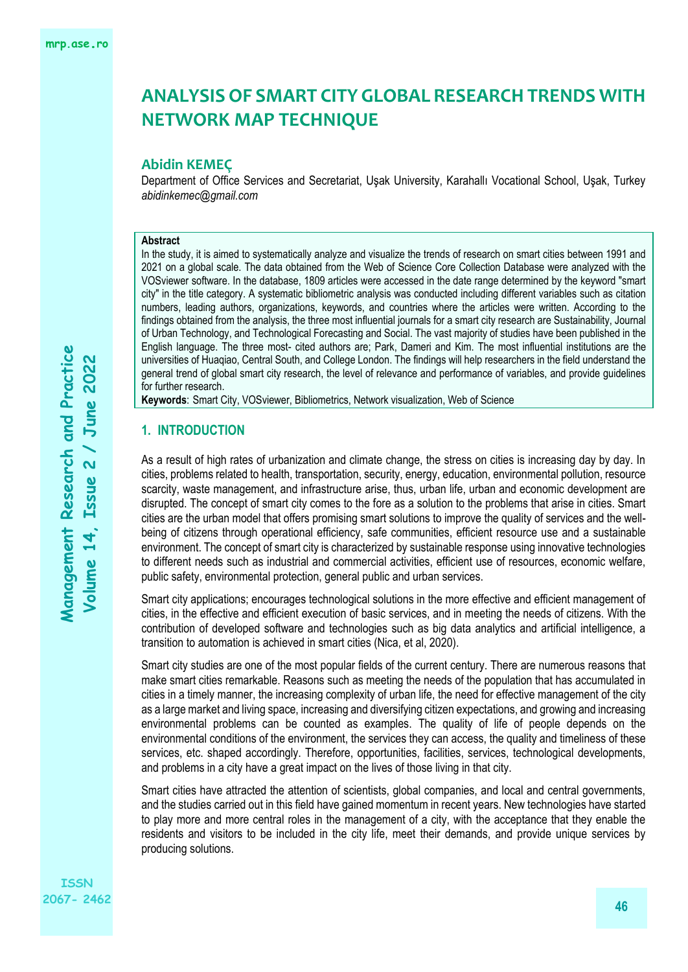### **Abidin KEMEÇ**

Department of Office Services and Secretariat, Uşak University, Karahallı Vocational School, Uşak, Turkey *[abidinkemec@gmail.com](mailto:abidinkemec@gmail.com)*

#### **Abstract**

In the study, it is aimed to systematically analyze and visualize the trends of research on smart cities between 1991 and 2021 on a global scale. The data obtained from the Web of Science Core Collection Database were analyzed with the VOSviewer software. In the database, 1809 articles were accessed in the date range determined by the keyword "smart city" in the title category. A systematic bibliometric analysis was conducted including different variables such as citation numbers, leading authors, organizations, keywords, and countries where the articles were written. According to the findings obtained from the analysis, the three most influential journals for a smart city research are Sustainability, Journal of Urban Technology, and Technological Forecasting and Social. The vast majority of studies have been published in the English language. The three most- cited authors are; Park, Dameri and Kim. The most influential institutions are the universities of Huaqiao, Central South, and College London. The findings will help researchers in the field understand the general trend of global smart city research, the level of relevance and performance of variables, and provide guidelines for further research.

**Keywords**: Smart City, VOSviewer, Bibliometrics, Network visualization, Web of Science

#### **1. INTRODUCTION**

As a result of high rates of urbanization and climate change, the stress on cities is increasing day by day. In cities, problems related to health, transportation, security, energy, education, environmental pollution, resource scarcity, waste management, and infrastructure arise, thus, urban life, urban and economic development are disrupted. The concept of smart city comes to the fore as a solution to the problems that arise in cities. Smart cities are the urban model that offers promising smart solutions to improve the quality of services and the wellbeing of citizens through operational efficiency, safe communities, efficient resource use and a sustainable environment. The concept of smart city is characterized by sustainable response using innovative technologies to different needs such as industrial and commercial activities, efficient use of resources, economic welfare, public safety, environmental protection, general public and urban services.

Smart city applications; encourages technological solutions in the more effective and efficient management of cities, in the effective and efficient execution of basic services, and in meeting the needs of citizens. With the contribution of developed software and technologies such as big data analytics and artificial intelligence, a transition to automation is achieved in smart cities (Nica, et al, 2020).

Smart city studies are one of the most popular fields of the current century. There are numerous reasons that make smart cities remarkable. Reasons such as meeting the needs of the population that has accumulated in cities in a timely manner, the increasing complexity of urban life, the need for effective management of the city as a large market and living space, increasing and diversifying citizen expectations, and growing and increasing environmental problems can be counted as examples. The quality of life of people depends on the environmental conditions of the environment, the services they can access, the quality and timeliness of these services, etc. shaped accordingly. Therefore, opportunities, facilities, services, technological developments, and problems in a city have a great impact on the lives of those living in that city.

Smart cities have attracted the attention of scientists, global companies, and local and central governments, and the studies carried out in this field have gained momentum in recent years. New technologies have started to play more and more central roles in the management of a city, with the acceptance that they enable the residents and visitors to be included in the city life, meet their demands, and provide unique services by producing solutions.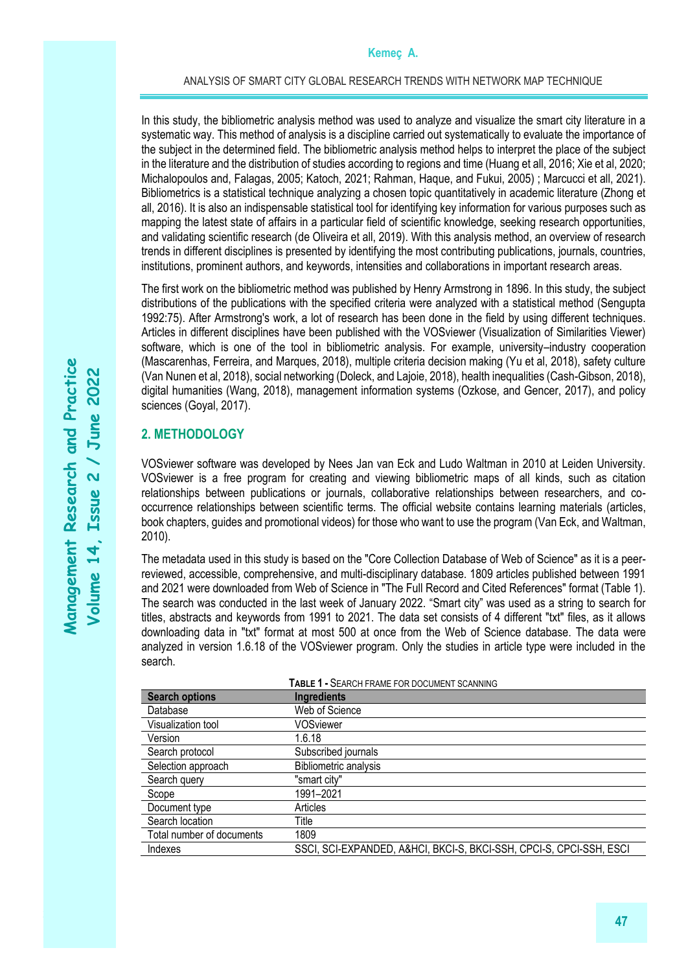In this study, the bibliometric analysis method was used to analyze and visualize the smart city literature in a systematic way. This method of analysis is a discipline carried out systematically to evaluate the importance of the subject in the determined field. The bibliometric analysis method helps to interpret the place of the subject in the literature and the distribution of studies according to regions and time (Huang et all, 2016; Xie et al, 2020; Michalopoulos and, Falagas, 2005; Katoch, 2021; Rahman, Haque, and Fukui, 2005) ; Marcucci et all, 2021). Bibliometrics is a statistical technique analyzing a chosen topic quantitatively in academic literature (Zhong et all, 2016). It is also an indispensable statistical tool for identifying key information for various purposes such as mapping the latest state of affairs in a particular field of scientific knowledge, seeking research opportunities, and validating scientific research (de Oliveira et all, 2019). With this analysis method, an overview of research trends in different disciplines is presented by identifying the most contributing publications, journals, countries, institutions, prominent authors, and keywords, intensities and collaborations in important research areas.

The first work on the bibliometric method was published by Henry Armstrong in 1896. In this study, the subject distributions of the publications with the specified criteria were analyzed with a statistical method (Sengupta 1992:75). After Armstrong's work, a lot of research has been done in the field by using different techniques. Articles in different disciplines have been published with the VOSviewer (Visualization of Similarities Viewer) software, which is one of the tool in bibliometric analysis. For example, university–industry cooperation (Mascarenhas, Ferreira, and Marques, 2018), multiple criteria decision making (Yu et al, 2018), safety culture (Van Nunen et al, 2018), social networking (Doleck, and Lajoie, 2018), health inequalities (Cash-Gibson, 2018), digital humanities (Wang, 2018), management information systems (Ozkose, and Gencer, 2017), and policy sciences (Goyal, 2017).

## **2. METHODOLOGY**

VOSviewer software was developed by Nees Jan van Eck and Ludo Waltman in 2010 at Leiden University. VOSviewer is a free program for creating and viewing bibliometric maps of all kinds, such as citation relationships between publications or journals, collaborative relationships between researchers, and cooccurrence relationships between scientific terms. The official website contains learning materials (articles, book chapters, guides and promotional videos) for those who want to use the program (Van Eck, and Waltman, 2010).

The metadata used in this study is based on the "Core Collection Database of Web of Science" as it is a peerreviewed, accessible, comprehensive, and multi-disciplinary database. 1809 articles published between 1991 and 2021 were downloaded from Web of Science in "The Full Record and Cited References" format (Table 1). The search was conducted in the last week of January 2022. "Smart city" was used as a string to search for titles, abstracts and keywords from 1991 to 2021. The data set consists of 4 different "txt" files, as it allows downloading data in "txt" format at most 500 at once from the Web of Science database. The data were analyzed in version 1.6.18 of the VOSviewer program. Only the studies in article type were included in the search.

| <b>Search options</b>     | <b>Ingredients</b>                                                  |
|---------------------------|---------------------------------------------------------------------|
| Database                  | Web of Science                                                      |
| Visualization tool        | <b>VOSviewer</b>                                                    |
| Version                   | 1.6.18                                                              |
| Search protocol           | Subscribed journals                                                 |
| Selection approach        | Bibliometric analysis                                               |
| Search query              | "smart city"                                                        |
| Scope                     | 1991-2021                                                           |
| Document type             | Articles                                                            |
| Search location           | Title                                                               |
| Total number of documents | 1809                                                                |
| Indexes                   | SSCI, SCI-EXPANDED, A&HCI, BKCI-S, BKCI-SSH, CPCI-S, CPCI-SSH, ESCI |

**TABLE 1 -** SEARCH FRAME FOR DOCUMENT SCANNING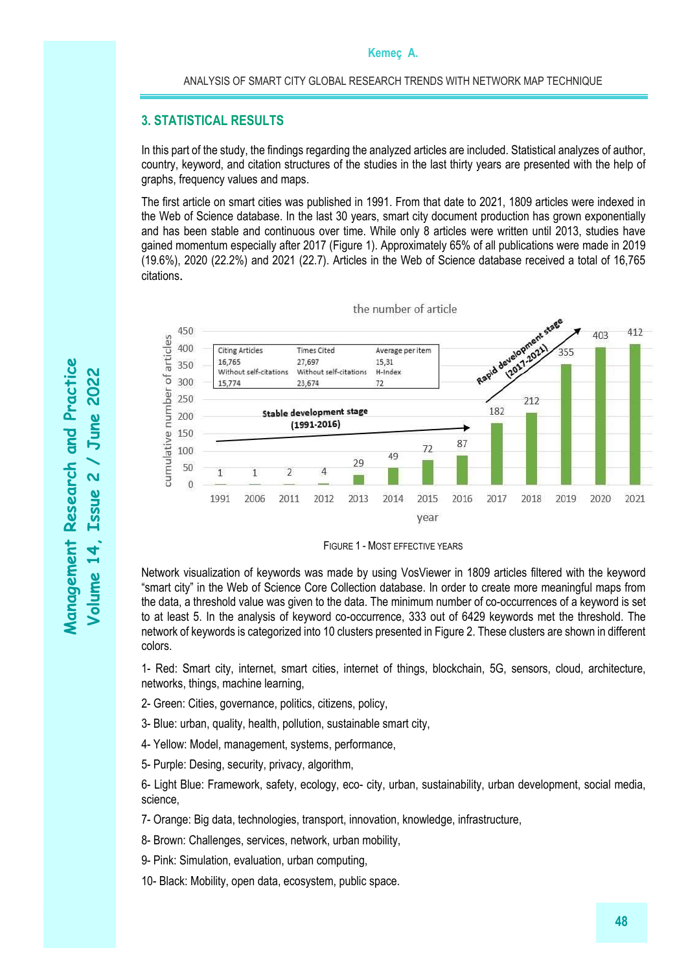## **3. STATISTICAL RESULTS**

In this part of the study, the findings regarding the analyzed articles are included. Statistical analyzes of author, country, keyword, and citation structures of the studies in the last thirty years are presented with the help of graphs, frequency values and maps.

The first article on smart cities was published in 1991. From that date to 2021, 1809 articles were indexed in the Web of Science database. In the last 30 years, smart city document production has grown exponentially and has been stable and continuous over time. While only 8 articles were written until 2013, studies have gained momentum especially after 2017 (Figure 1). Approximately 65% of all publications were made in 2019 (19.6%), 2020 (22.2%) and 2021 (22.7). Articles in the Web of Science database received a total of 16,765 citations.





Network visualization of keywords was made by using VosViewer in 1809 articles filtered with the keyword "smart city" in the Web of Science Core Collection database. In order to create more meaningful maps from the data, a threshold value was given to the data. The minimum number of co-occurrences of a keyword is set to at least 5. In the analysis of keyword co-occurrence, 333 out of 6429 keywords met the threshold. The network of keywords is categorized into 10 clusters presented in Figure 2. These clusters are shown in different colors.

1- Red: Smart city, internet, smart cities, internet of things, blockchain, 5G, sensors, cloud, architecture, networks, things, machine learning,

- 2- Green: Cities, governance, politics, citizens, policy,
- 3- Blue: urban, quality, health, pollution, sustainable smart city,
- 4- Yellow: Model, management, systems, performance,
- 5- Purple: Desing, security, privacy, algorithm,

6- Light Blue: Framework, safety, ecology, eco- city, urban, sustainability, urban development, social media, science,

7- Orange: Big data, technologies, transport, innovation, knowledge, infrastructure,

8- Brown: Challenges, services, network, urban mobility,

9- Pink: Simulation, evaluation, urban computing,

10- Black: Mobility, open data, ecosystem, public space.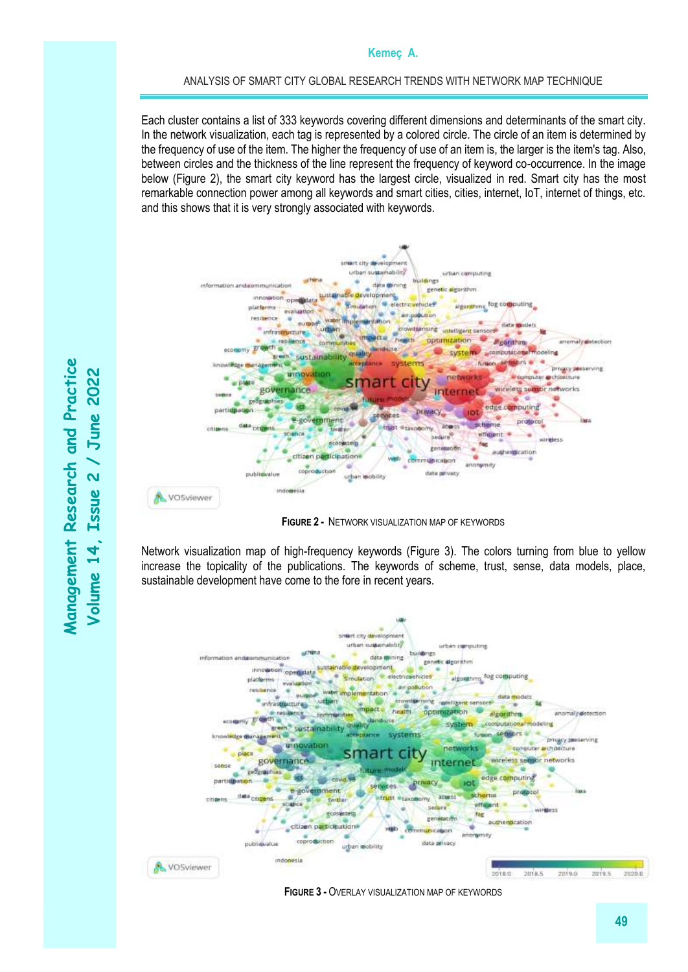#### ANALYSIS OF SMART CITY GLOBAL RESEARCH TRENDS WITH NETWORK MAP TECHNIQUE

Each cluster contains a list of 333 keywords covering different dimensions and determinants of the smart city. In the network visualization, each tag is represented by a colored circle. The circle of an item is determined by the frequency of use of the item. The higher the frequency of use of an item is, the larger is the item's tag. Also, between circles and the thickness of the line represent the frequency of keyword co-occurrence. In the image below (Figure 2), the smart city keyword has the largest circle, visualized in red. Smart city has the most remarkable connection power among all keywords and smart cities, cities, internet, IoT, internet of things, etc. and this shows that it is very strongly associated with keywords.



**FIGURE 2 -** NETWORK VISUALIZATION MAP OF KEYWORDS

Network visualization map of high-frequency keywords (Figure 3). The colors turning from blue to yellow increase the topicality of the publications. The keywords of scheme, trust, sense, data models, place, sustainable development have come to the fore in recent years.



**FIGURE 3 -** OVERLAY VISUALIZATION MAP OF KEYWORDS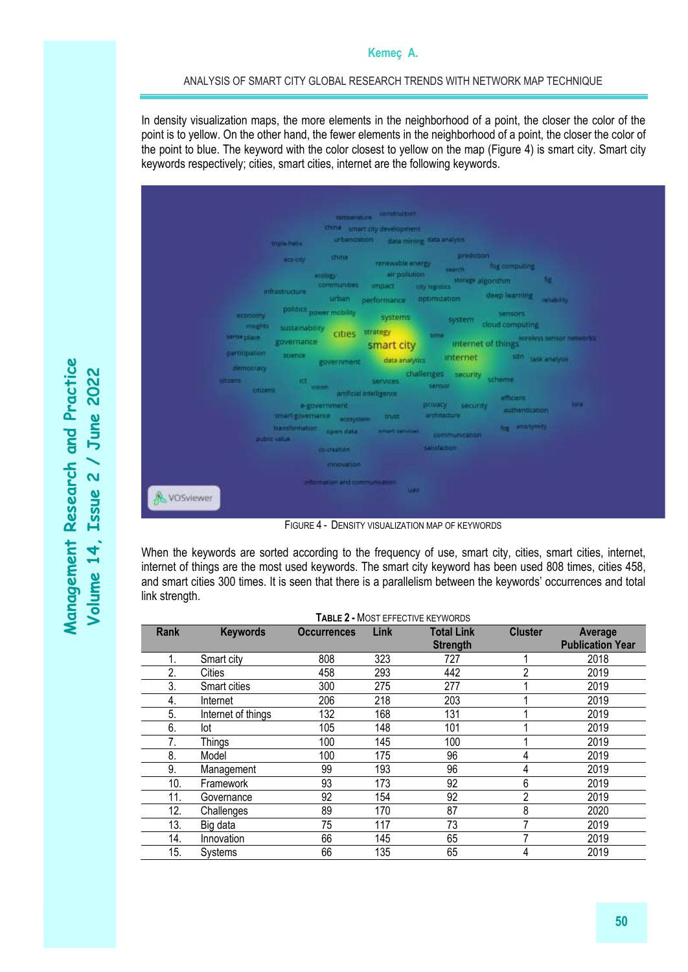#### ANALYSIS OF SMART CITY GLOBAL RESEARCH TRENDS WITH NETWORK MAP TECHNIQUE

In density visualization maps, the more elements in the neighborhood of a point, the closer the color of the point is to yellow. On the other hand, the fewer elements in the neighborhood of a point, the closer the color of the point to blue. The keyword with the color closest to yellow on the map (Figure 4) is smart city. Smart city keywords respectively; cities, smart cities, internet are the following keywords.



FIGURE 4 - DENSITY VISUALIZATION MAP OF KEYWORDS

When the keywords are sorted according to the frequency of use, smart city, cities, smart cities, internet, internet of things are the most used keywords. The smart city keyword has been used 808 times, cities 458, and smart cities 300 times. It is seen that there is a parallelism between the keywords' occurrences and total link strength.

| TABLE 2 - MOST EFFECTIVE KEYWORDS |                    |                    |      |                   |                |                         |  |  |
|-----------------------------------|--------------------|--------------------|------|-------------------|----------------|-------------------------|--|--|
| Rank                              | <b>Keywords</b>    | <b>Occurrences</b> | Link | <b>Total Link</b> | <b>Cluster</b> | Average                 |  |  |
|                                   |                    |                    |      | <b>Strength</b>   |                | <b>Publication Year</b> |  |  |
| 1.                                | Smart city         | 808                | 323  | 727               |                | 2018                    |  |  |
| 2.                                | <b>Cities</b>      | 458                | 293  | 442               | ∩              | 2019                    |  |  |
| 3.                                | Smart cities       | 300                | 275  | 277               |                | 2019                    |  |  |
| 4.                                | Internet           | 206                | 218  | 203               |                | 2019                    |  |  |
| 5.                                | Internet of things | 132                | 168  | 131               |                | 2019                    |  |  |
| 6.                                | lot                | 105                | 148  | 101               |                | 2019                    |  |  |
| 7.                                | Things             | 100                | 145  | 100               |                | 2019                    |  |  |
| 8.                                | Model              | 100                | 175  | 96                | 4              | 2019                    |  |  |
| 9.                                | Management         | 99                 | 193  | 96                | 4              | 2019                    |  |  |
| 10.                               | Framework          | 93                 | 173  | 92                | 6              | 2019                    |  |  |
| 11.                               | Governance         | 92                 | 154  | 92                | 2              | 2019                    |  |  |
| 12.                               | Challenges         | 89                 | 170  | 87                | 8              | 2020                    |  |  |
| 13.                               | Big data           | 75                 | 117  | 73                |                | 2019                    |  |  |
| 14.                               | Innovation         | 66                 | 145  | 65                |                | 2019                    |  |  |
| 15.                               | Systems            | 66                 | 135  | 65                |                | 2019                    |  |  |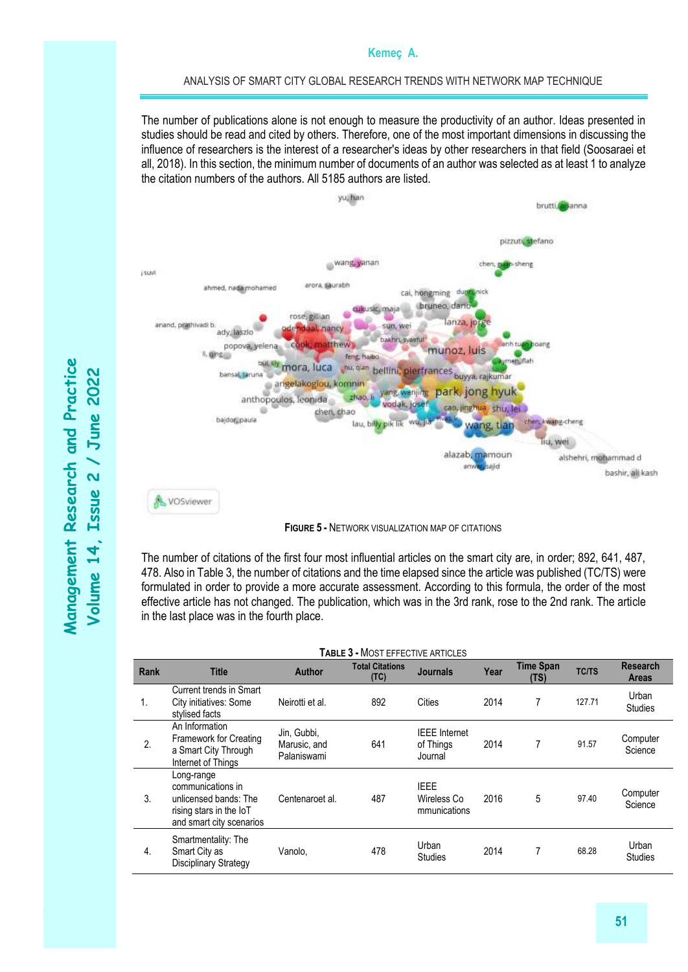#### ANALYSIS OF SMART CITY GLOBAL RESEARCH TRENDS WITH NETWORK MAP TECHNIQUE

The number of publications alone is not enough to measure the productivity of an author. Ideas presented in studies should be read and cited by others. Therefore, one of the most important dimensions in discussing the influence of researchers is the interest of a researcher's ideas by other researchers in that field (Soosaraei et all, 2018). In this section, the minimum number of documents of an author was selected as at least 1 to analyze the citation numbers of the authors. All 5185 authors are listed.



**FIGURE 5 -** NETWORK VISUALIZATION MAP OF CITATIONS

The number of citations of the first four most influential articles on the smart city are, in order; 892, 641, 487, 478. Also in Table 3, the number of citations and the time elapsed since the article was published (TC/TS) were formulated in order to provide a more accurate assessment. According to this formula, the order of the most effective article has not changed. The publication, which was in the 3rd rank, rose to the 2nd rank. The article in the last place was in the fourth place.

| <b>TABLE 3 - MOST EFFECTIVE ARTICLES</b> |                                                                                                                 |                                            |                                |                                              |      |                          |              |                                 |
|------------------------------------------|-----------------------------------------------------------------------------------------------------------------|--------------------------------------------|--------------------------------|----------------------------------------------|------|--------------------------|--------------|---------------------------------|
| Rank                                     | <b>Title</b>                                                                                                    | <b>Author</b>                              | <b>Total Citations</b><br>(TC) | <b>Journals</b>                              | Year | <b>Time Span</b><br>(TS) | <b>TC/TS</b> | <b>Research</b><br><b>Areas</b> |
| 1.                                       | Current trends in Smart<br>City initiatives: Some<br>stylised facts                                             | Neirotti et al.                            | 892                            | Cities                                       | 2014 | 7                        | 127.71       | Urban<br><b>Studies</b>         |
| 2.                                       | An Information<br>Framework for Creating<br>a Smart City Through<br>Internet of Things                          | Jin, Gubbi,<br>Marusic, and<br>Palaniswami | 641                            | <b>IEEE</b> Internet<br>of Things<br>Journal | 2014 | 7                        | 91.57        | Computer<br>Science             |
| 3.                                       | Long-range<br>communications in<br>unlicensed bands: The<br>rising stars in the IoT<br>and smart city scenarios | Centenaroet al.                            | 487                            | <b>IEEE</b><br>Wireless Co<br>mmunications   | 2016 | 5                        | 97.40        | Computer<br>Science             |
| 4.                                       | Smartmentality: The<br>Smart City as<br>Disciplinary Strategy                                                   | Vanolo,                                    | 478                            | Urban<br>Studies                             | 2014 | 7                        | 68.28        | Urban<br><b>Studies</b>         |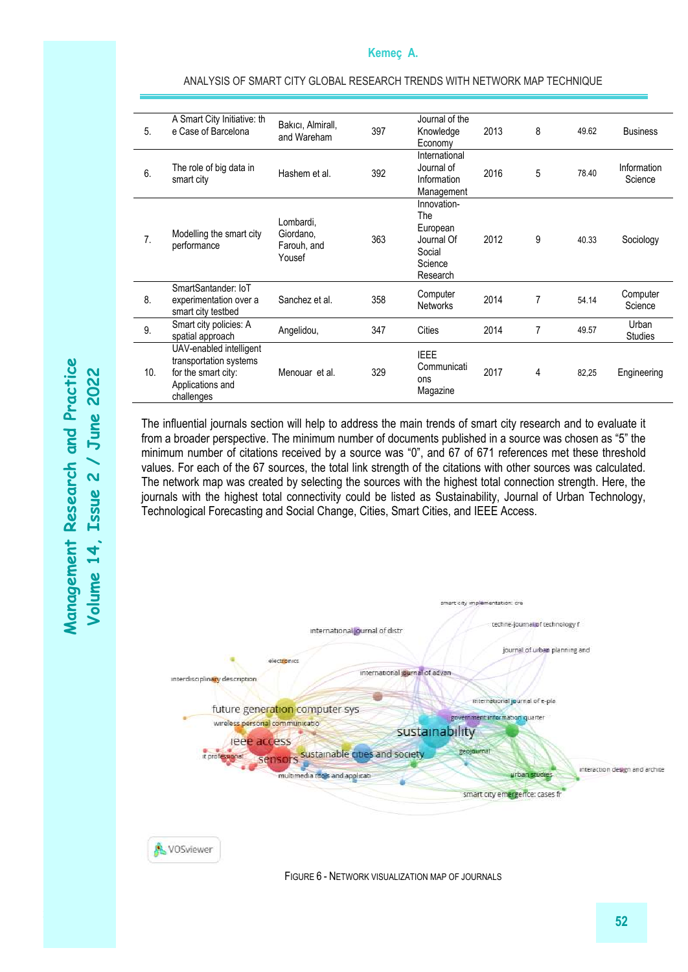| 5.             | A Smart City Initiative: th<br>e Case of Barcelona                                                         | Bakıcı, Almirall,<br>and Wareham                | 397 | Journal of the<br>Knowledge<br>Economy                                        | 2013 | 8              | 49.62 | <b>Business</b>         |
|----------------|------------------------------------------------------------------------------------------------------------|-------------------------------------------------|-----|-------------------------------------------------------------------------------|------|----------------|-------|-------------------------|
| 6.             | The role of big data in<br>smart city                                                                      | Hashem et al.                                   | 392 | International<br>Journal of<br>Information<br>Management                      | 2016 | 5              | 78.40 | Information<br>Science  |
| 7 <sub>1</sub> | Modelling the smart city<br>performance                                                                    | Lombardi,<br>Giordano,<br>Farouh, and<br>Yousef | 363 | Innovation-<br>The<br>European<br>Journal Of<br>Social<br>Science<br>Research | 2012 | 9              | 40.33 | Sociology               |
| 8.             | SmartSantander: IoT<br>experimentation over a<br>smart city testbed                                        | Sanchez et al.                                  | 358 | Computer<br><b>Networks</b>                                                   | 2014 | $\overline{7}$ | 54.14 | Computer<br>Science     |
| 9.             | Smart city policies: A<br>spatial approach                                                                 | Angelidou,                                      | 347 | Cities                                                                        | 2014 | $\overline{7}$ | 49.57 | Urban<br><b>Studies</b> |
| 10.            | UAV-enabled intelligent<br>transportation systems<br>for the smart city:<br>Applications and<br>challenges | Menouar et al.                                  | 329 | <b>IEEE</b><br>Communicati<br>ons<br>Magazine                                 | 2017 | 4              | 82,25 | Engineering             |

The influential journals section will help to address the main trends of smart city research and to evaluate it from a broader perspective. The minimum number of documents published in a source was chosen as "5" the minimum number of citations received by a source was "0", and 67 of 671 references met these threshold values. For each of the 67 sources, the total link strength of the citations with other sources was calculated. The network map was created by selecting the sources with the highest total connection strength. Here, the journals with the highest total connectivity could be listed as Sustainability, Journal of Urban Technology, Technological Forecasting and Social Change, Cities, Smart Cities, and IEEE Access.



FIGURE 6 - NETWORK VISUALIZATION MAP OF JOURNALS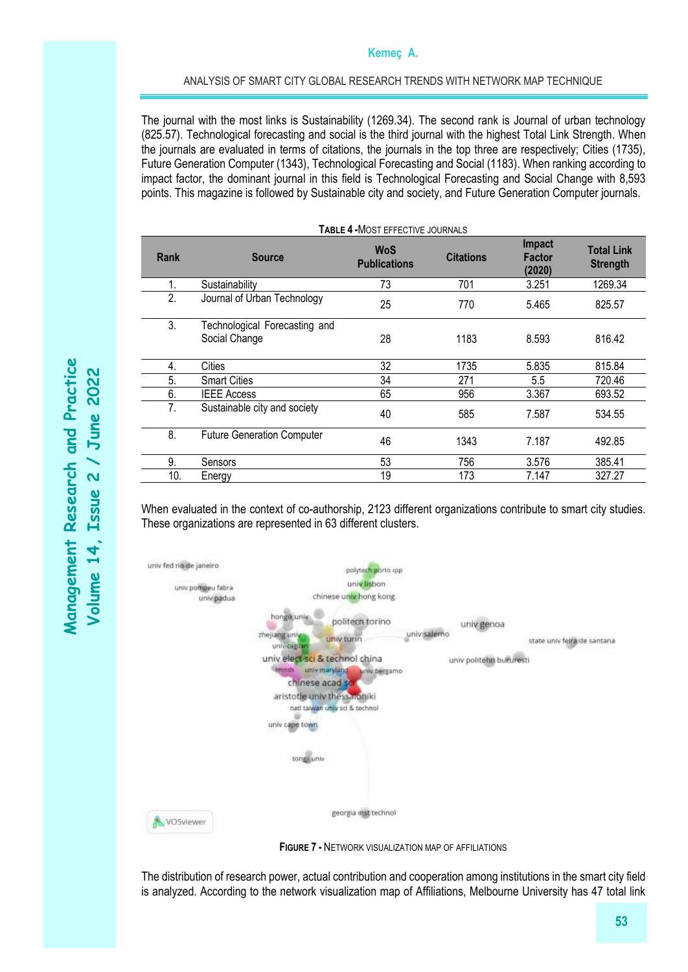#### ANALYSIS OF SMART CITY GLOBAL RESEARCH TRENDS WITH NETWORK MAP TECHNIQUE

The journal with the most links is Sustainability (1269.34). The second rank is Journal of urban technology (825.57). Technological forecasting and social is the third journal with the highest Total Link Strength. When the journals are evaluated in terms of citations, the journals in the top three are respectively; Cities (1735), Future Generation Computer (1343), Technological Forecasting and Social (1183). When ranking according to impact factor, the dominant journal in this field is Technological Forecasting and Social Change with 8,593 points. This magazine is followed by Sustainable city and society, and Future Generation Computer journals.

|      | <b>TABLE 4 - MOST EFFECTIVE JOURNALS</b>       |                                   |                  |                                   |                                      |  |  |  |  |
|------|------------------------------------------------|-----------------------------------|------------------|-----------------------------------|--------------------------------------|--|--|--|--|
| Rank | <b>Source</b>                                  | <b>WoS</b><br><b>Publications</b> | <b>Citations</b> | <b>Impact</b><br>Factor<br>(2020) | <b>Total Link</b><br><b>Strength</b> |  |  |  |  |
| 1.   | Sustainability                                 | 73                                | 701              | 3.251                             | 1269.34                              |  |  |  |  |
| 2.   | Journal of Urban Technology                    | 25                                | 770              | 5.465                             | 825.57                               |  |  |  |  |
| 3.   | Technological Forecasting and<br>Social Change | 28                                | 1183             | 8.593                             | 816.42                               |  |  |  |  |
| 4.   | Cities                                         | 32                                | 1735             | 5.835                             | 815.84                               |  |  |  |  |
| 5.   | <b>Smart Cities</b>                            | 34                                | 271              | 5.5                               | 720.46                               |  |  |  |  |
| 6.   | <b>IEEE Access</b>                             | 65                                | 956              | 3.367                             | 693.52                               |  |  |  |  |
| 7.   | Sustainable city and society                   | 40                                | 585              | 7.587                             | 534.55                               |  |  |  |  |
| 8.   | <b>Future Generation Computer</b>              | 46                                | 1343             | 7.187                             | 492.85                               |  |  |  |  |
| 9.   | Sensors                                        | 53                                | 756              | 3.576                             | 385.41                               |  |  |  |  |
| 10.  | Energy                                         | 19                                | 173              | 7.147                             | 327.27                               |  |  |  |  |

When evaluated in the context of co-authorship, 2123 different organizations contribute to smart city studies. These organizations are represented in 63 different clusters.



**FIGURE 7 -** NETWORK VISUALIZATION MAP OF AFFILIATIONS

The distribution of research power, actual contribution and cooperation among institutions in the smart city field is analyzed. According to the network visualization map of Affiliations, Melbourne University has 47 total link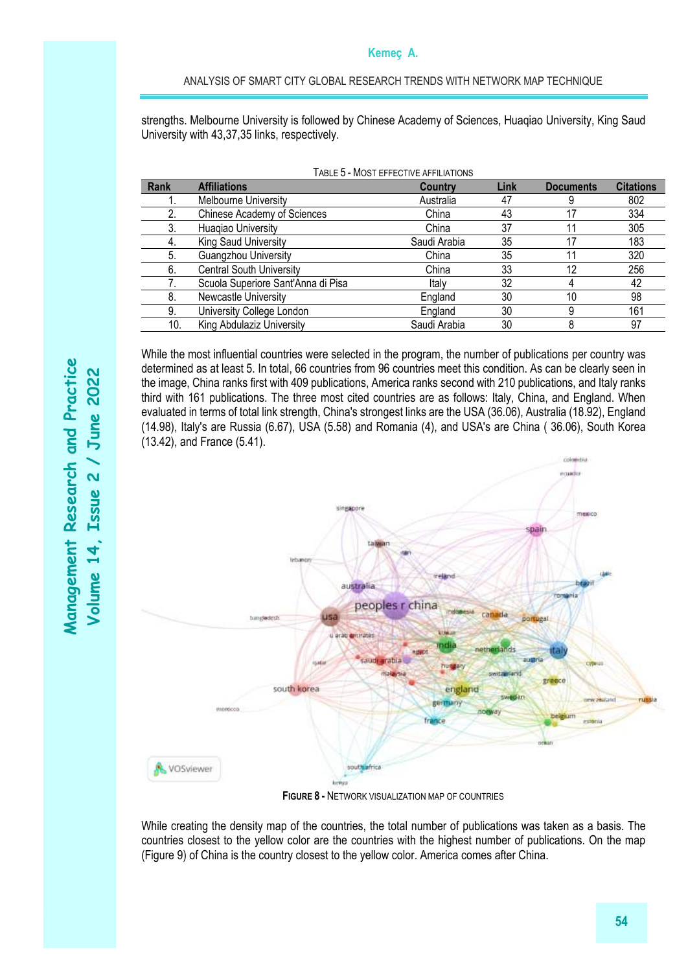strengths. Melbourne University is followed by Chinese Academy of Sciences, Huaqiao University, King Saud University with 43,37,35 links, respectively.

TABLE 5 - MOST EFFECTIVE AFFILIATIONS

| Rank | <b>Affiliations</b>                | Country      | Link | <b>Documents</b> | <b>Citations</b> |
|------|------------------------------------|--------------|------|------------------|------------------|
|      | Melbourne University               | Australia    | 47   |                  | 802              |
|      | <b>Chinese Academy of Sciences</b> | China        | 43   | 17               | 334              |
|      | Huagiao University                 | China        | 37   |                  | 305              |
| 4.   | King Saud University               | Saudi Arabia | 35   | 17               | 183              |
| 5.   | Guangzhou University               | China        | 35   |                  | 320              |
| 6.   | <b>Central South University</b>    | China        | 33   | 12               | 256              |
|      | Scuola Superiore Sant'Anna di Pisa | Italy        | 32   |                  | 42               |
| 8.   | Newcastle University               | England      | 30   | 10               | 98               |
| 9.   | University College London          | England      | 30   |                  | 161              |
| 10.  | King Abdulaziz University          | Saudi Arabia | 30   |                  | 97               |

While the most influential countries were selected in the program, the number of publications per country was determined as at least 5. In total, 66 countries from 96 countries meet this condition. As can be clearly seen in the image, China ranks first with 409 publications, America ranks second with 210 publications, and Italy ranks third with 161 publications. The three most cited countries are as follows: Italy, China, and England. When evaluated in terms of total link strength, China's strongest links are the USA (36.06), Australia (18.92), England (14.98), Italy's are Russia (6.67), USA (5.58) and Romania (4), and USA's are China ( 36.06), South Korea (13.42), and France (5.41).



**FIGURE 8 -** NETWORK VISUALIZATION MAP OF COUNTRIES

While creating the density map of the countries, the total number of publications was taken as a basis. The countries closest to the yellow color are the countries with the highest number of publications. On the map (Figure 9) of China is the country closest to the yellow color. America comes after China.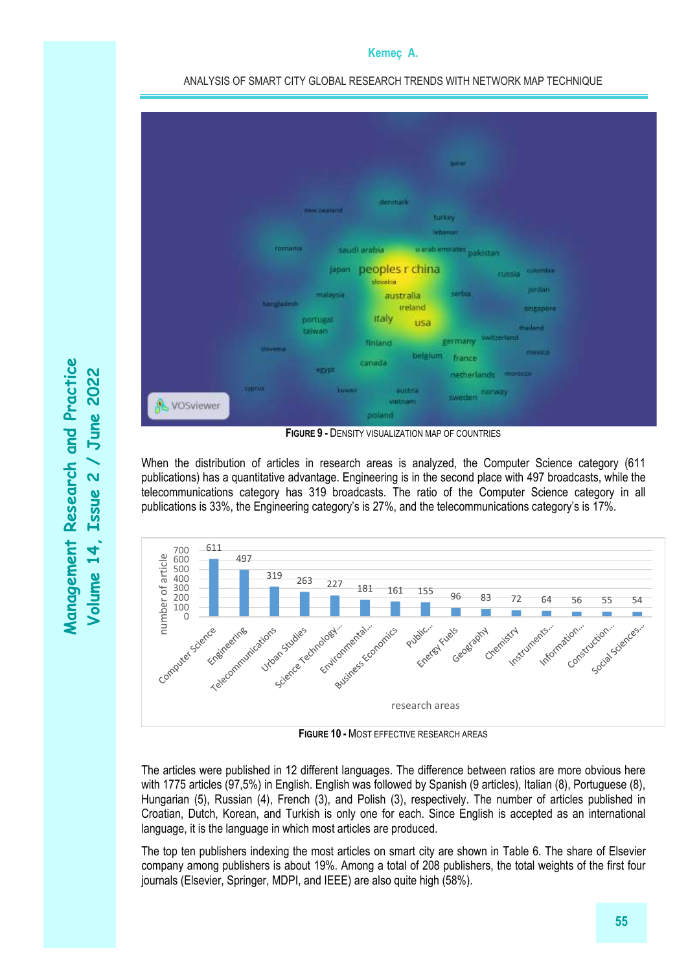

ANALYSIS OF SMART CITY GLOBAL RESEARCH TRENDS WITH NETWORK MAP TECHNIQUE

**FIGURE 9 -** DENSITY VISUALIZATION MAP OF COUNTRIES

When the distribution of articles in research areas is analyzed, the Computer Science category (611 publications) has a quantitative advantage. Engineering is in the second place with 497 broadcasts, while the telecommunications category has 319 broadcasts. The ratio of the Computer Science category in all publications is 33%, the Engineering category's is 27%, and the telecommunications category's is 17%.



**FIGURE 10 -** MOST EFFECTIVE RESEARCH AREAS

The articles were published in 12 different languages. The difference between ratios are more obvious here with 1775 articles (97,5%) in English. English was followed by Spanish (9 articles), Italian (8), Portuguese (8), Hungarian (5), Russian (4), French (3), and Polish (3), respectively. The number of articles published in Croatian, Dutch, Korean, and Turkish is only one for each. Since English is accepted as an international language, it is the language in which most articles are produced.

The top ten publishers indexing the most articles on smart city are shown in Table 6. The share of Elsevier company among publishers is about 19%. Among a total of 208 publishers, the total weights of the first four journals (Elsevier, Springer, MDPI, and IEEE) are also quite high (58%).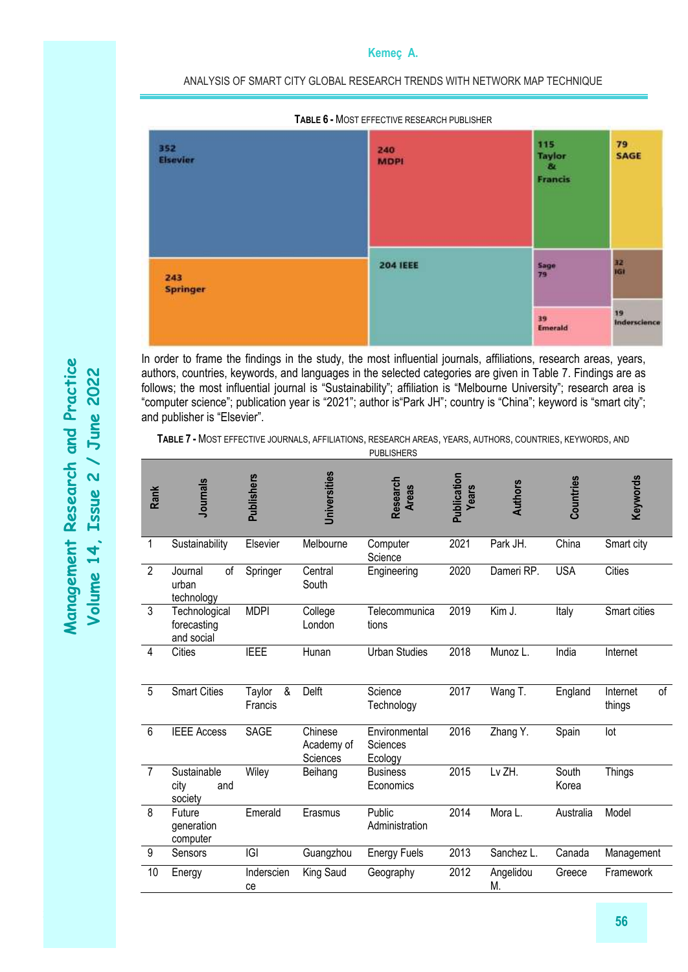ANALYSIS OF SMART CITY GLOBAL RESEARCH TRENDS WITH NETWORK MAP TECHNIQUE



In order to frame the findings in the study, the most influential journals, affiliations, research areas, years, authors, countries, keywords, and languages in the selected categories are given in Table 7. Findings are as follows; the most influential journal is "Sustainability"; affiliation is "Melbourne University"; research area is "computer science"; publication year is "2021"; author is"Park JH"; country is "China"; keyword is "smart city"; and publisher is "Elsevier".

**TABLE 7 -** MOST EFFECTIVE JOURNALS, AFFILIATIONS, RESEARCH AREAS, YEARS, AUTHORS, COUNTRIES, KEYWORDS, AND

|                | <b>PUBLISHERS</b>                          |                        |                                   |                                      |                      |                 |                |                          |
|----------------|--------------------------------------------|------------------------|-----------------------------------|--------------------------------------|----------------------|-----------------|----------------|--------------------------|
| Rank           | <b>Journals</b>                            | <b>Publishers</b>      | <b>Universities</b>               | Research<br><b>Areas</b>             | Publication<br>Years | <b>Authors</b>  | Countries      | Keywords                 |
| 1              | Sustainability                             | Elsevier               | Melbourne                         | Computer<br>Science                  | 2021                 | Park JH.        | China          | Smart city               |
| $\overline{2}$ | οf<br>Journal<br>urban<br>technology       | Springer               | Central<br>South                  | Engineering                          | 2020                 | Dameri RP.      | <b>USA</b>     | <b>Cities</b>            |
| 3              | Technological<br>forecasting<br>and social | <b>MDPI</b>            | College<br>London                 | Telecommunica<br>tions               | 2019                 | Kim J.          | Italy          | Smart cities             |
| 4              | Cities                                     | <b>IEEE</b>            | Hunan                             | <b>Urban Studies</b>                 | 2018                 | Munoz L.        | India          | Internet                 |
| 5              | <b>Smart Cities</b>                        | &<br>Taylor<br>Francis | Delft                             | Science<br>Technology                | 2017                 | Wang T.         | England        | Internet<br>of<br>things |
| 6              | <b>IEEE Access</b>                         | <b>SAGE</b>            | Chinese<br>Academy of<br>Sciences | Environmental<br>Sciences<br>Ecology | 2016                 | Zhang Y.        | Spain          | lot                      |
| $\overline{7}$ | Sustainable<br>city<br>and<br>society      | Wiley                  | Beihang                           | <b>Business</b><br>Economics         | 2015                 | Lv ZH.          | South<br>Korea | <b>Things</b>            |
| 8              | Future<br>generation<br>computer           | Emerald                | Erasmus                           | Public<br>Administration             | 2014                 | Mora L.         | Australia      | Model                    |
| 9              | Sensors                                    | IGI                    | Guangzhou                         | <b>Energy Fuels</b>                  | 2013                 | Sanchez L.      | Canada         | Management               |
| 10             | Energy                                     | Inderscien<br>ce       | King Saud                         | Geography                            | 2012                 | Angelidou<br>M. | Greece         | Framework                |
|                |                                            |                        |                                   |                                      |                      |                 |                |                          |

**56**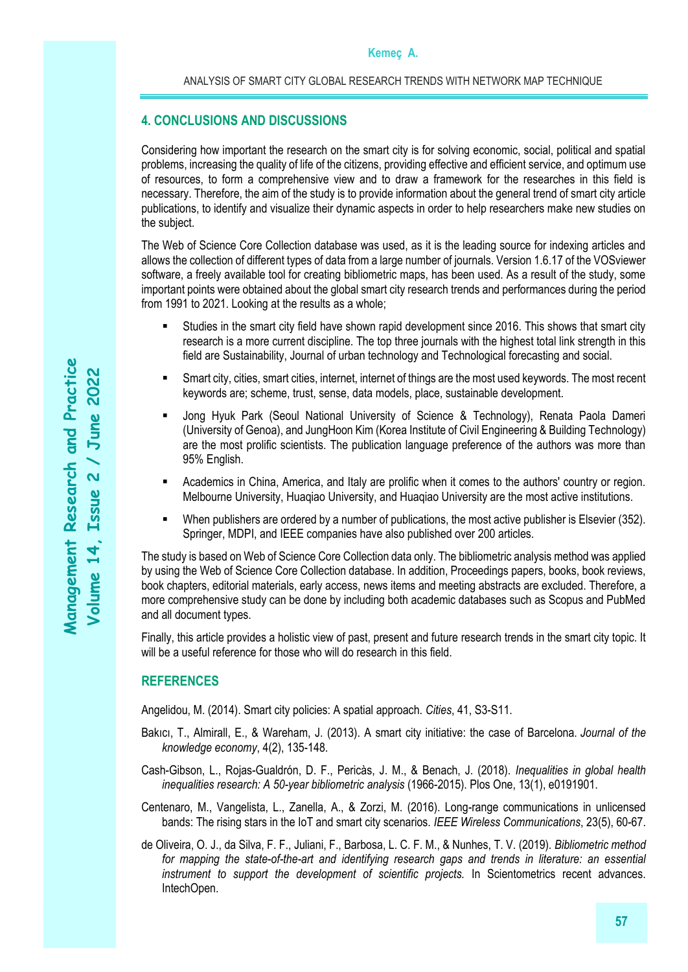## **4. CONCLUSIONS AND DISCUSSIONS**

Considering how important the research on the smart city is for solving economic, social, political and spatial problems, increasing the quality of life of the citizens, providing effective and efficient service, and optimum use of resources, to form a comprehensive view and to draw a framework for the researches in this field is necessary. Therefore, the aim of the study is to provide information about the general trend of smart city article publications, to identify and visualize their dynamic aspects in order to help researchers make new studies on the subject.

The Web of Science Core Collection database was used, as it is the leading source for indexing articles and allows the collection of different types of data from a large number of journals. Version 1.6.17 of the VOSviewer software, a freely available tool for creating bibliometric maps, has been used. As a result of the study, some important points were obtained about the global smart city research trends and performances during the period from 1991 to 2021. Looking at the results as a whole;

- Studies in the smart city field have shown rapid development since 2016. This shows that smart city research is a more current discipline. The top three journals with the highest total link strength in this field are Sustainability, Journal of urban technology and Technological forecasting and social.
- Smart city, cities, smart cities, internet, internet of things are the most used keywords. The most recent keywords are; scheme, trust, sense, data models, place, sustainable development.
- Jong Hyuk Park (Seoul National University of Science & Technology), Renata Paola Dameri (University of Genoa), and JungHoon Kim (Korea Institute of Civil Engineering & Building Technology) are the most prolific scientists. The publication language preference of the authors was more than 95% English.
- **EXECT Academics in China, America, and Italy are prolific when it comes to the authors' country or region.** Melbourne University, Huaqiao University, and Huaqiao University are the most active institutions.
- When publishers are ordered by a number of publications, the most active publisher is Elsevier (352). Springer, MDPI, and IEEE companies have also published over 200 articles.

The study is based on Web of Science Core Collection data only. The bibliometric analysis method was applied by using the Web of Science Core Collection database. In addition, Proceedings papers, books, book reviews, book chapters, editorial materials, early access, news items and meeting abstracts are excluded. Therefore, a more comprehensive study can be done by including both academic databases such as Scopus and PubMed and all document types.

Finally, this article provides a holistic view of past, present and future research trends in the smart city topic. It will be a useful reference for those who will do research in this field.

## **REFERENCES**

Angelidou, M. (2014). Smart city policies: A spatial approach. *Cities*, 41, S3-S11.

- Bakıcı, T., Almirall, E., & Wareham, J. (2013). A smart city initiative: the case of Barcelona. *Journal of the knowledge economy*, 4(2), 135-148.
- Cash-Gibson, L., Rojas-Gualdrón, D. F., Pericàs, J. M., & Benach, J. (2018). *Inequalities in global health inequalities research: A 50-year bibliometric analysis* (1966-2015). Plos One, 13(1), e0191901.
- Centenaro, M., Vangelista, L., Zanella, A., & Zorzi, M. (2016). Long-range communications in unlicensed bands: The rising stars in the IoT and smart city scenarios. *IEEE Wireless Communications*, 23(5), 60-67.
- de Oliveira, O. J., da Silva, F. F., Juliani, F., Barbosa, L. C. F. M., & Nunhes, T. V. (2019). *Bibliometric method*  for mapping the state-of-the-art and identifying research gaps and trends in literature: an essential *instrument to support the development of scientific projects.* In Scientometrics recent advances. IntechOpen.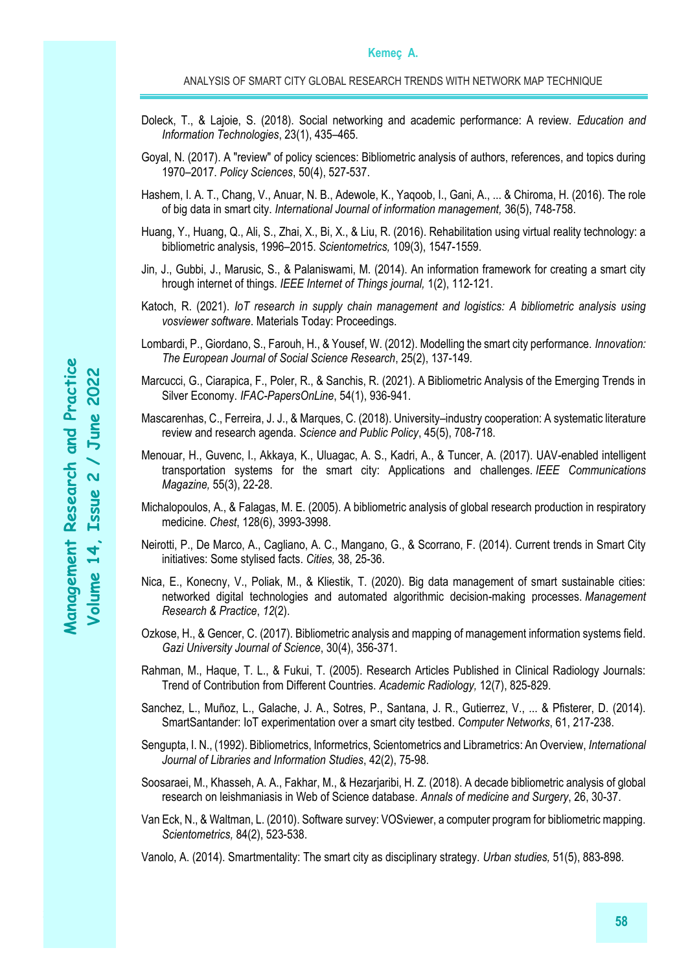- Doleck, T., & Lajoie, S. (2018). Social networking and academic performance: A review. *Education and Information Technologies*, 23(1), 435–465.
- Goyal, N. (2017). A "review" of policy sciences: Bibliometric analysis of authors, references, and topics during 1970–2017. *Policy Sciences*, 50(4), 527-537.
- Hashem, I. A. T., Chang, V., Anuar, N. B., Adewole, K., Yaqoob, I., Gani, A., ... & Chiroma, H. (2016). The role of big data in smart city. *International Journal of information management,* 36(5), 748-758.
- Huang, Y., Huang, Q., Ali, S., Zhai, X., Bi, X., & Liu, R. (2016). Rehabilitation using virtual reality technology: a bibliometric analysis, 1996–2015. *Scientometrics,* 109(3), 1547-1559.
- Jin, J., Gubbi, J., Marusic, S., & Palaniswami, M. (2014). An information framework for creating a smart city hrough internet of things. *IEEE Internet of Things journal,* 1(2), 112-121.
- Katoch, R. (2021). *IoT research in supply chain management and logistics: A bibliometric analysis using vosviewer software*. Materials Today: Proceedings.
- Lombardi, P., Giordano, S., Farouh, H., & Yousef, W. (2012). Modelling the smart city performance. *Innovation: The European Journal of Social Science Research*, 25(2), 137-149.
- Marcucci, G., Ciarapica, F., Poler, R., & Sanchis, R. (2021). A Bibliometric Analysis of the Emerging Trends in Silver Economy. *IFAC-PapersOnLine*, 54(1), 936-941.
- Mascarenhas, C., Ferreira, J. J., & Marques, C. (2018). University–industry cooperation: A systematic literature review and research agenda. *Science and Public Policy*, 45(5), 708-718.
- Menouar, H., Guvenc, I., Akkaya, K., Uluagac, A. S., Kadri, A., & Tuncer, A. (2017). UAV-enabled intelligent transportation systems for the smart city: Applications and challenges. *IEEE Communications Magazine,* 55(3), 22-28.
- Michalopoulos, A., & Falagas, M. E. (2005). A bibliometric analysis of global research production in respiratory medicine. *Chest*, 128(6), 3993-3998.
- Neirotti, P., De Marco, A., Cagliano, A. C., Mangano, G., & Scorrano, F. (2014). Current trends in Smart City initiatives: Some stylised facts. *Cities,* 38, 25-36.
- Nica, E., Konecny, V., Poliak, M., & Kliestik, T. (2020). Big data management of smart sustainable cities: networked digital technologies and automated algorithmic decision-making processes. *Management Research & Practice*, *12*(2).
- Ozkose, H., & Gencer, C. (2017). Bibliometric analysis and mapping of management information systems field. *Gazi University Journal of Science*, 30(4), 356-371.
- Rahman, M., Haque, T. L., & Fukui, T. (2005). Research Articles Published in Clinical Radiology Journals: Trend of Contribution from Different Countries. *Academic Radiology,* 12(7), 825-829.
- Sanchez, L., Muñoz, L., Galache, J. A., Sotres, P., Santana, J. R., Gutierrez, V., ... & Pfisterer, D. (2014). SmartSantander: IoT experimentation over a smart city testbed. *Computer Networks*, 61, 217-238.
- Sengupta, I. N., (1992). Bibliometrics, Informetrics, Scientometrics and Librametrics: An Overview, *International Journal of Libraries and Information Studies*, 42(2), 75-98.
- Soosaraei, M., Khasseh, A. A., Fakhar, M., & Hezarjaribi, H. Z. (2018). A decade bibliometric analysis of global research on leishmaniasis in Web of Science database. *Annals of medicine and Surgery*, 26, 30-37.
- Van Eck, N., & Waltman, L. (2010). Software survey: VOSviewer, a computer program for bibliometric mapping. *Scientometrics,* 84(2), 523-538.
- Vanolo, A. (2014). Smartmentality: The smart city as disciplinary strategy. *Urban studies,* 51(5), 883-898.